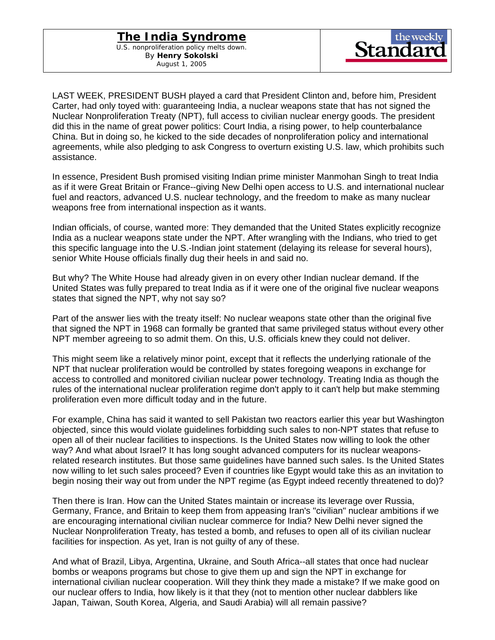## **The India Syndrome**

U.S. nonproliferation policy melts down. By **Henry Sokolski** August 1, 2005



LAST WEEK, PRESIDENT BUSH played a card that President Clinton and, before him, President Carter, had only toyed with: guaranteeing India, a nuclear weapons state that has not signed the Nuclear Nonproliferation Treaty (NPT), full access to civilian nuclear energy goods. The president did this in the name of great power politics: Court India, a rising power, to help counterbalance China. But in doing so, he kicked to the side decades of nonproliferation policy and international agreements, while also pledging to ask Congress to overturn existing U.S. law, which prohibits such assistance.

In essence, President Bush promised visiting Indian prime minister Manmohan Singh to treat India as if it were Great Britain or France--giving New Delhi open access to U.S. and international nuclear fuel and reactors, advanced U.S. nuclear technology, and the freedom to make as many nuclear weapons free from international inspection as it wants.

Indian officials, of course, wanted more: They demanded that the United States explicitly recognize India as a nuclear weapons state under the NPT. After wrangling with the Indians, who tried to get this specific language into the U.S.-Indian joint statement (delaying its release for several hours), senior White House officials finally dug their heels in and said no.

But why? The White House had already given in on every other Indian nuclear demand. If the United States was fully prepared to treat India as if it were one of the original five nuclear weapons states that signed the NPT, why not say so?

Part of the answer lies with the treaty itself: No nuclear weapons state other than the original five that signed the NPT in 1968 can formally be granted that same privileged status without every other NPT member agreeing to so admit them. On this, U.S. officials knew they could not deliver.

This might seem like a relatively minor point, except that it reflects the underlying rationale of the NPT that nuclear proliferation would be controlled by states foregoing weapons in exchange for access to controlled and monitored civilian nuclear power technology. Treating India as though the rules of the international nuclear proliferation regime don't apply to it can't help but make stemming proliferation even more difficult today and in the future.

For example, China has said it wanted to sell Pakistan two reactors earlier this year but Washington objected, since this would violate guidelines forbidding such sales to non-NPT states that refuse to open all of their nuclear facilities to inspections. Is the United States now willing to look the other way? And what about Israel? It has long sought advanced computers for its nuclear weaponsrelated research institutes. But those same guidelines have banned such sales. Is the United States now willing to let such sales proceed? Even if countries like Egypt would take this as an invitation to begin nosing their way out from under the NPT regime (as Egypt indeed recently threatened to do)?

Then there is Iran. How can the United States maintain or increase its leverage over Russia, Germany, France, and Britain to keep them from appeasing Iran's "civilian" nuclear ambitions if we are encouraging international civilian nuclear commerce for India? New Delhi never signed the Nuclear Nonproliferation Treaty, has tested a bomb, and refuses to open all of its civilian nuclear facilities for inspection. As yet, Iran is not guilty of any of these.

And what of Brazil, Libya, Argentina, Ukraine, and South Africa--all states that once had nuclear bombs or weapons programs but chose to give them up and sign the NPT in exchange for international civilian nuclear cooperation. Will they think they made a mistake? If we make good on our nuclear offers to India, how likely is it that they (not to mention other nuclear dabblers like Japan, Taiwan, South Korea, Algeria, and Saudi Arabia) will all remain passive?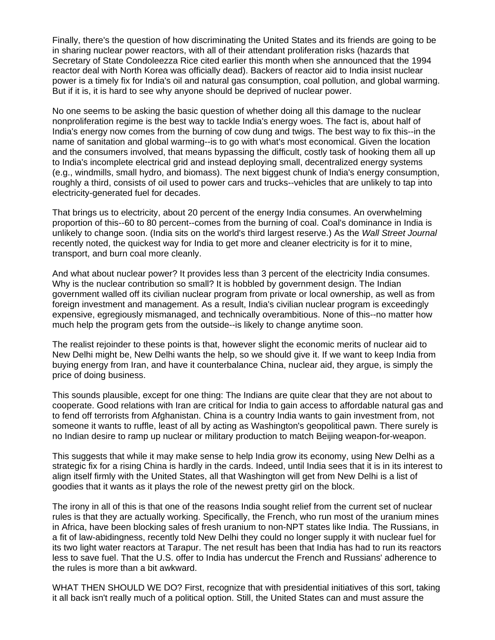Finally, there's the question of how discriminating the United States and its friends are going to be in sharing nuclear power reactors, with all of their attendant proliferation risks (hazards that Secretary of State Condoleezza Rice cited earlier this month when she announced that the 1994 reactor deal with North Korea was officially dead). Backers of reactor aid to India insist nuclear power is a timely fix for India's oil and natural gas consumption, coal pollution, and global warming. But if it is, it is hard to see why anyone should be deprived of nuclear power.

No one seems to be asking the basic question of whether doing all this damage to the nuclear nonproliferation regime is the best way to tackle India's energy woes. The fact is, about half of India's energy now comes from the burning of cow dung and twigs. The best way to fix this--in the name of sanitation and global warming--is to go with what's most economical. Given the location and the consumers involved, that means bypassing the difficult, costly task of hooking them all up to India's incomplete electrical grid and instead deploying small, decentralized energy systems (e.g., windmills, small hydro, and biomass). The next biggest chunk of India's energy consumption, roughly a third, consists of oil used to power cars and trucks--vehicles that are unlikely to tap into electricity-generated fuel for decades.

That brings us to electricity, about 20 percent of the energy India consumes. An overwhelming proportion of this--60 to 80 percent--comes from the burning of coal. Coal's dominance in India is unlikely to change soon. (India sits on the world's third largest reserve.) As the *Wall Street Journal*  recently noted, the quickest way for India to get more and cleaner electricity is for it to mine, transport, and burn coal more cleanly.

And what about nuclear power? It provides less than 3 percent of the electricity India consumes. Why is the nuclear contribution so small? It is hobbled by government design. The Indian government walled off its civilian nuclear program from private or local ownership, as well as from foreign investment and management. As a result, India's civilian nuclear program is exceedingly expensive, egregiously mismanaged, and technically overambitious. None of this--no matter how much help the program gets from the outside--is likely to change anytime soon.

The realist rejoinder to these points is that, however slight the economic merits of nuclear aid to New Delhi might be, New Delhi wants the help, so we should give it. If we want to keep India from buying energy from Iran, and have it counterbalance China, nuclear aid, they argue, is simply the price of doing business.

This sounds plausible, except for one thing: The Indians are quite clear that they are not about to cooperate. Good relations with Iran are critical for India to gain access to affordable natural gas and to fend off terrorists from Afghanistan. China is a country India wants to gain investment from, not someone it wants to ruffle, least of all by acting as Washington's geopolitical pawn. There surely is no Indian desire to ramp up nuclear or military production to match Beijing weapon-for-weapon.

This suggests that while it may make sense to help India grow its economy, using New Delhi as a strategic fix for a rising China is hardly in the cards. Indeed, until India sees that it is in its interest to align itself firmly with the United States, all that Washington will get from New Delhi is a list of goodies that it wants as it plays the role of the newest pretty girl on the block.

The irony in all of this is that one of the reasons India sought relief from the current set of nuclear rules is that they are actually working. Specifically, the French, who run most of the uranium mines in Africa, have been blocking sales of fresh uranium to non-NPT states like India. The Russians, in a fit of law-abidingness, recently told New Delhi they could no longer supply it with nuclear fuel for its two light water reactors at Tarapur. The net result has been that India has had to run its reactors less to save fuel. That the U.S. offer to India has undercut the French and Russians' adherence to the rules is more than a bit awkward.

WHAT THEN SHOULD WE DO? First, recognize that with presidential initiatives of this sort, taking it all back isn't really much of a political option. Still, the United States can and must assure the